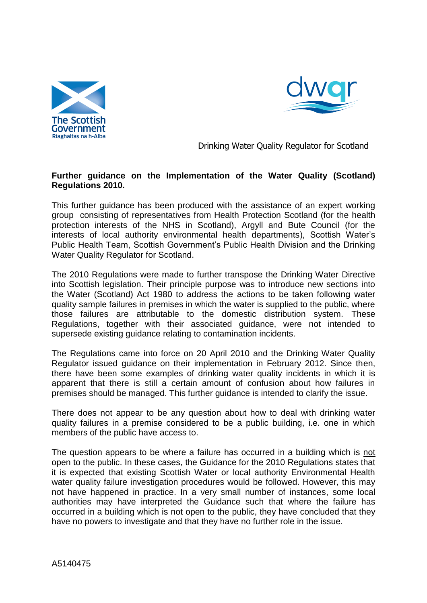



Drinking Water Quality Regulator for Scotland

# **Further guidance on the Implementation of the Water Quality (Scotland) Regulations 2010.**

This further guidance has been produced with the assistance of an expert working group consisting of representatives from Health Protection Scotland (for the health protection interests of the NHS in Scotland), Argyll and Bute Council (for the interests of local authority environmental health departments), Scottish Water's Public Health Team, Scottish Government's Public Health Division and the Drinking Water Quality Regulator for Scotland.

The 2010 Regulations were made to further transpose the Drinking Water Directive into Scottish legislation. Their principle purpose was to introduce new sections into the Water (Scotland) Act 1980 to address the actions to be taken following water quality sample failures in premises in which the water is supplied to the public, where those failures are attributable to the domestic distribution system. These Regulations, together with their associated guidance, were not intended to supersede existing guidance relating to contamination incidents.

The Regulations came into force on 20 April 2010 and the Drinking Water Quality Regulator issued guidance on their implementation in February 2012. Since then, there have been some examples of drinking water quality incidents in which it is apparent that there is still a certain amount of confusion about how failures in premises should be managed. This further guidance is intended to clarify the issue.

There does not appear to be any question about how to deal with drinking water quality failures in a premise considered to be a public building, i.e. one in which members of the public have access to.

The question appears to be where a failure has occurred in a building which is not open to the public. In these cases, the Guidance for the 2010 Regulations states that it is expected that existing Scottish Water or local authority Environmental Health water quality failure investigation procedures would be followed. However, this may not have happened in practice. In a very small number of instances, some local authorities may have interpreted the Guidance such that where the failure has occurred in a building which is not open to the public, they have concluded that they have no powers to investigate and that they have no further role in the issue.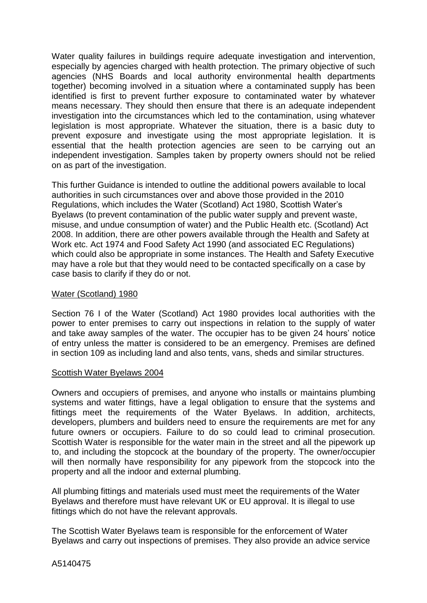Water quality failures in buildings require adequate investigation and intervention, especially by agencies charged with health protection. The primary objective of such agencies (NHS Boards and local authority environmental health departments together) becoming involved in a situation where a contaminated supply has been identified is first to prevent further exposure to contaminated water by whatever means necessary. They should then ensure that there is an adequate independent investigation into the circumstances which led to the contamination, using whatever legislation is most appropriate. Whatever the situation, there is a basic duty to prevent exposure and investigate using the most appropriate legislation. It is essential that the health protection agencies are seen to be carrying out an independent investigation. Samples taken by property owners should not be relied on as part of the investigation.

This further Guidance is intended to outline the additional powers available to local authorities in such circumstances over and above those provided in the 2010 Regulations, which includes the Water (Scotland) Act 1980, Scottish Water's Byelaws (to prevent contamination of the public water supply and prevent waste, misuse, and undue consumption of water) and the Public Health etc. (Scotland) Act 2008. In addition, there are other powers available through the Health and Safety at Work etc. Act 1974 and Food Safety Act 1990 (and associated EC Regulations) which could also be appropriate in some instances. The Health and Safety Executive may have a role but that they would need to be contacted specifically on a case by case basis to clarify if they do or not.

### Water (Scotland) 1980

Section 76 I of the Water (Scotland) Act 1980 provides local authorities with the power to enter premises to carry out inspections in relation to the supply of water and take away samples of the water. The occupier has to be given 24 hours' notice of entry unless the matter is considered to be an emergency. Premises are defined in section 109 as including land and also tents, vans, sheds and similar structures.

#### Scottish Water Byelaws 2004

Owners and occupiers of premises, and anyone who installs or maintains plumbing systems and water fittings, have a legal obligation to ensure that the systems and fittings meet the requirements of the Water Byelaws. In addition, architects, developers, plumbers and builders need to ensure the requirements are met for any future owners or occupiers. Failure to do so could lead to criminal prosecution. Scottish Water is responsible for the water main in the street and all the pipework up to, and including the stopcock at the boundary of the property. The owner/occupier will then normally have responsibility for any pipework from the stopcock into the property and all the indoor and external plumbing.

All plumbing fittings and materials used must meet the requirements of the Water Byelaws and therefore must have relevant UK or EU approval. It is illegal to use fittings which do not have the relevant approvals.

The Scottish Water Byelaws team is responsible for the enforcement of Water Byelaws and carry out inspections of premises. They also provide an advice service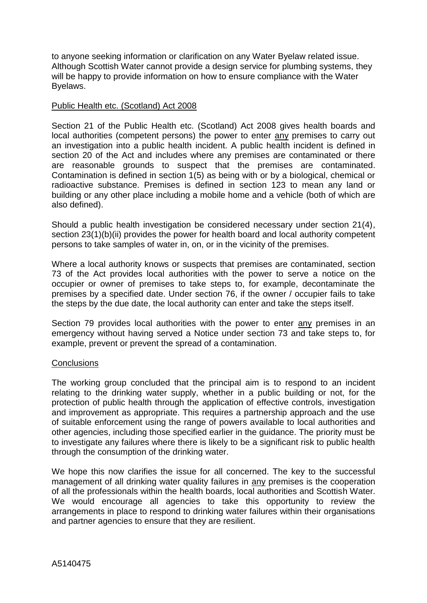to anyone seeking information or clarification on any Water Byelaw related issue. Although Scottish Water cannot provide a design service for plumbing systems, they will be happy to provide information on how to ensure compliance with the Water Byelaws.

## Public Health etc. (Scotland) Act 2008

Section 21 of the Public Health etc. (Scotland) Act 2008 gives health boards and local authorities (competent persons) the power to enter any premises to carry out an investigation into a public health incident. A public health incident is defined in section 20 of the Act and includes where any premises are contaminated or there are reasonable grounds to suspect that the premises are contaminated. Contamination is defined in section 1(5) as being with or by a biological, chemical or radioactive substance. Premises is defined in section 123 to mean any land or building or any other place including a mobile home and a vehicle (both of which are also defined).

Should a public health investigation be considered necessary under section 21(4), section 23(1)(b)(ii) provides the power for health board and local authority competent persons to take samples of water in, on, or in the vicinity of the premises.

Where a local authority knows or suspects that premises are contaminated, section 73 of the Act provides local authorities with the power to serve a notice on the occupier or owner of premises to take steps to, for example, decontaminate the premises by a specified date. Under section 76, if the owner / occupier fails to take the steps by the due date, the local authority can enter and take the steps itself.

Section 79 provides local authorities with the power to enter any premises in an emergency without having served a Notice under section 73 and take steps to, for example, prevent or prevent the spread of a contamination.

#### **Conclusions**

The working group concluded that the principal aim is to respond to an incident relating to the drinking water supply, whether in a public building or not, for the protection of public health through the application of effective controls, investigation and improvement as appropriate. This requires a partnership approach and the use of suitable enforcement using the range of powers available to local authorities and other agencies, including those specified earlier in the guidance. The priority must be to investigate any failures where there is likely to be a significant risk to public health through the consumption of the drinking water.

We hope this now clarifies the issue for all concerned. The key to the successful management of all drinking water quality failures in any premises is the cooperation of all the professionals within the health boards, local authorities and Scottish Water. We would encourage all agencies to take this opportunity to review the arrangements in place to respond to drinking water failures within their organisations and partner agencies to ensure that they are resilient.